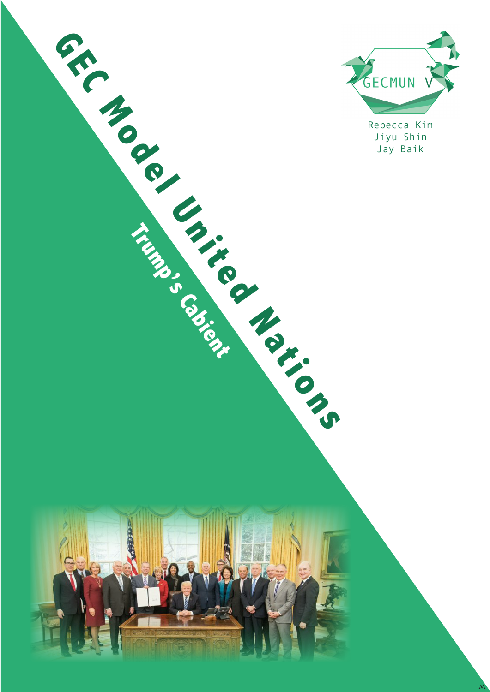

Rebecca Kim Jiyu Shin

**Trump Cabient** 

O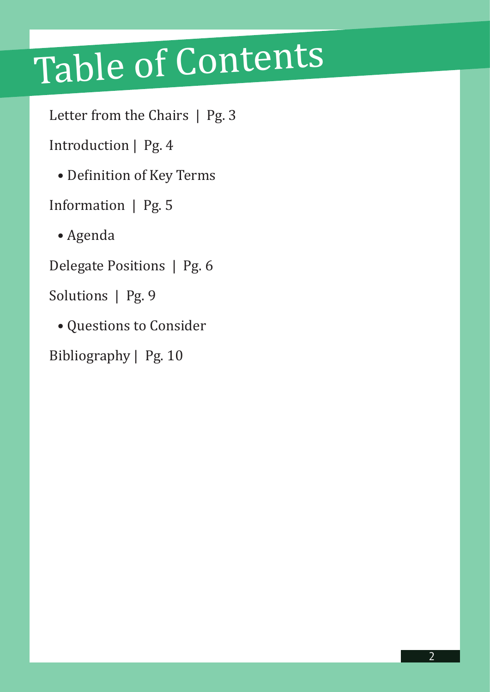# Table of Contents

Letter from the Chairs | Pg. 3

Introduction | Pg. 4

• Definition of Key Terms

Information | Pg. 5

• Agenda

Delegate Positions | Pg. 6

Solutions | Pg. 9

• Questions to Consider

Bibliography | Pg. 10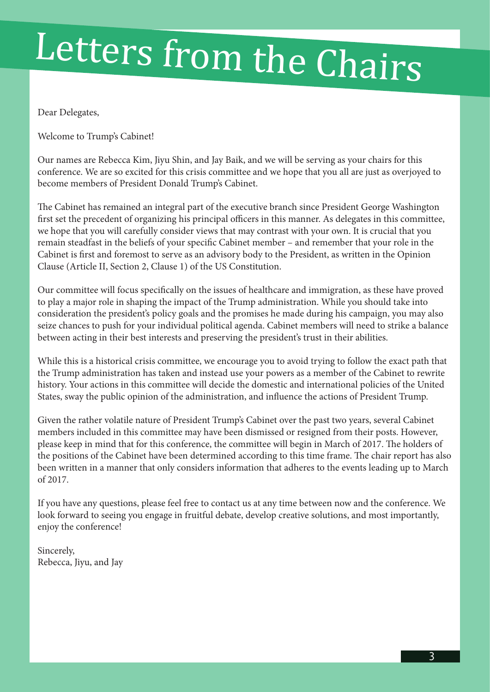# Letters from the Chairs

Dear Delegates,

Welcome to Trump's Cabinet!

Our names are Rebecca Kim, Jiyu Shin, and Jay Baik, and we will be serving as your chairs for this conference. We are so excited for this crisis committee and we hope that you all are just as overjoyed to become members of President Donald Trump's Cabinet.

The Cabinet has remained an integral part of the executive branch since President George Washington first set the precedent of organizing his principal officers in this manner. As delegates in this committee, we hope that you will carefully consider views that may contrast with your own. It is crucial that you remain steadfast in the beliefs of your specific Cabinet member – and remember that your role in the Cabinet is first and foremost to serve as an advisory body to the President, as written in the Opinion Clause (Article II, Section 2, Clause 1) of the US Constitution.

Our committee will focus specifically on the issues of healthcare and immigration, as these have proved to play a major role in shaping the impact of the Trump administration. While you should take into consideration the president's policy goals and the promises he made during his campaign, you may also seize chances to push for your individual political agenda. Cabinet members will need to strike a balance between acting in their best interests and preserving the president's trust in their abilities.

While this is a historical crisis committee, we encourage you to avoid trying to follow the exact path that the Trump administration has taken and instead use your powers as a member of the Cabinet to rewrite history. Your actions in this committee will decide the domestic and international policies of the United States, sway the public opinion of the administration, and influence the actions of President Trump.

Given the rather volatile nature of President Trump's Cabinet over the past two years, several Cabinet members included in this committee may have been dismissed or resigned from their posts. However, please keep in mind that for this conference, the committee will begin in March of 2017. The holders of the positions of the Cabinet have been determined according to this time frame. The chair report has also been written in a manner that only considers information that adheres to the events leading up to March of 2017.

If you have any questions, please feel free to contact us at any time between now and the conference. We look forward to seeing you engage in fruitful debate, develop creative solutions, and most importantly, enjoy the conference!

Sincerely, Rebecca, Jiyu, and Jay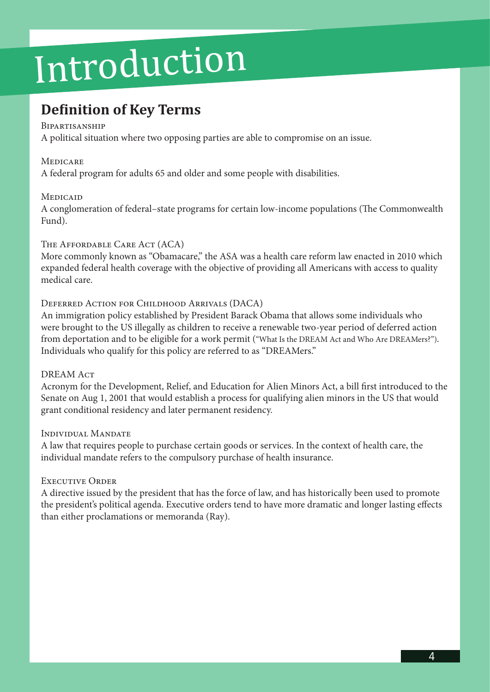## Introduction

### **Definition of Key Terms**

### **BIPARTISANSHIP**

A political situation where two opposing parties are able to compromise on an issue.

### **MEDICARE**

A federal program for adults 65 and older and some people with disabilities.

### **MEDICAID**

A conglomeration of federal–state programs for certain low-income populations (The Commonwealth Fund).

### The Affordable Care Act (ACA)

More commonly known as "Obamacare," the ASA was a health care reform law enacted in 2010 which expanded federal health coverage with the objective of providing all Americans with access to quality medical care.

### Deferred Action for Childhood Arrivals (DACA)

An immigration policy established by President Barack Obama that allows some individuals who were brought to the US illegally as children to receive a renewable two-year period of deferred action from deportation and to be eligible for a work permit ("What Is the DREAM Act and Who Are DREAMers?"). Individuals who qualify for this policy are referred to as "DREAMers."

### DREAM ACT

Acronym for the Development, Relief, and Education for Alien Minors Act, a bill first introduced to the Senate on Aug 1, 2001 that would establish a process for qualifying alien minors in the US that would grant conditional residency and later permanent residency.

### Individual Mandate

A law that requires people to purchase certain goods or services. In the context of health care, the individual mandate refers to the compulsory purchase of health insurance.

### Executive Order

A directive issued by the president that has the force of law, and has historically been used to promote the president's political agenda. Executive orders tend to have more dramatic and longer lasting effects than either proclamations or memoranda (Ray).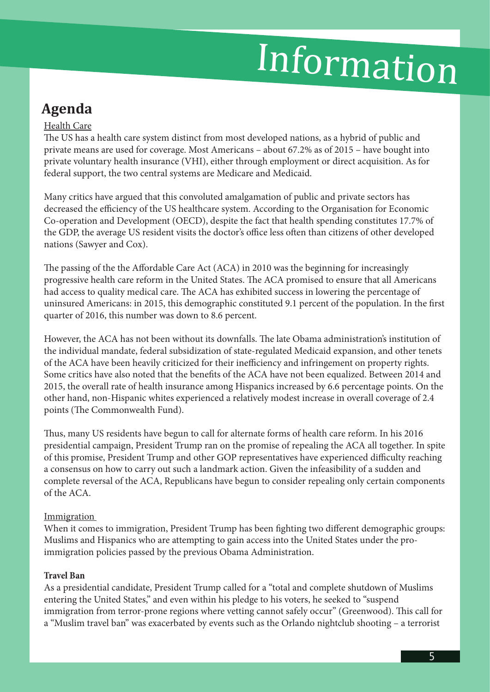## Information

### **Agenda**

### Health Care

The US has a health care system distinct from most developed nations, as a hybrid of public and private means are used for coverage. Most Americans – about 67.2% as of 2015 – have bought into private voluntary health insurance (VHI), either through employment or direct acquisition. As for federal support, the two central systems are Medicare and Medicaid.

Many critics have argued that this convoluted amalgamation of public and private sectors has decreased the efficiency of the US healthcare system. According to the Organisation for Economic Co-operation and Development (OECD), despite the fact that health spending constitutes 17.7% of the GDP, the average US resident visits the doctor's office less often than citizens of other developed nations (Sawyer and Cox).

The passing of the the Affordable Care Act (ACA) in 2010 was the beginning for increasingly progressive health care reform in the United States. The ACA promised to ensure that all Americans had access to quality medical care. The ACA has exhibited success in lowering the percentage of uninsured Americans: in 2015, this demographic constituted 9.1 percent of the population. In the first quarter of 2016, this number was down to 8.6 percent.

However, the ACA has not been without its downfalls. The late Obama administration's institution of the individual mandate, federal subsidization of state-regulated Medicaid expansion, and other tenets of the ACA have been heavily criticized for their inefficiency and infringement on property rights. Some critics have also noted that the benefits of the ACA have not been equalized. Between 2014 and 2015, the overall rate of health insurance among Hispanics increased by 6.6 percentage points. On the other hand, non-Hispanic whites experienced a relatively modest increase in overall coverage of 2.4 points (The Commonwealth Fund).

Thus, many US residents have begun to call for alternate forms of health care reform. In his 2016 presidential campaign, President Trump ran on the promise of repealing the ACA all together. In spite of this promise, President Trump and other GOP representatives have experienced difficulty reaching a consensus on how to carry out such a landmark action. Given the infeasibility of a sudden and complete reversal of the ACA, Republicans have begun to consider repealing only certain components of the ACA.

### Immigration

When it comes to immigration, President Trump has been fighting two different demographic groups: Muslims and Hispanics who are attempting to gain access into the United States under the proimmigration policies passed by the previous Obama Administration.

### **Travel Ban**

As a presidential candidate, President Trump called for a "total and complete shutdown of Muslims entering the United States," and even within his pledge to his voters, he seeked to "suspend immigration from terror-prone regions where vetting cannot safely occur" (Greenwood). This call for a "Muslim travel ban" was exacerbated by events such as the Orlando nightclub shooting – a terrorist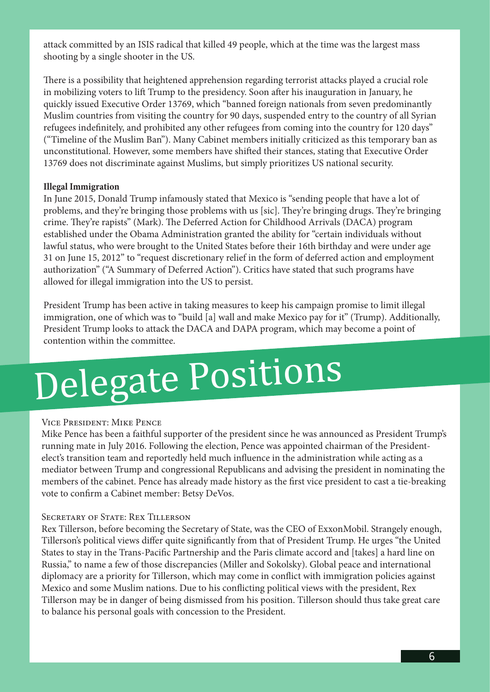attack committed by an ISIS radical that killed 49 people, which at the time was the largest mass shooting by a single shooter in the US.

There is a possibility that heightened apprehension regarding terrorist attacks played a crucial role in mobilizing voters to lift Trump to the presidency. Soon after his inauguration in January, he quickly issued Executive Order 13769, which "banned foreign nationals from seven predominantly Muslim countries from visiting the country for 90 days, suspended entry to the country of all Syrian refugees indefinitely, and prohibited any other refugees from coming into the country for 120 days" ("Timeline of the Muslim Ban"). Many Cabinet members initially criticized as this temporary ban as unconstitutional. However, some members have shifted their stances, stating that Executive Order 13769 does not discriminate against Muslims, but simply prioritizes US national security.

### **Illegal Immigration**

In June 2015, Donald Trump infamously stated that Mexico is "sending people that have a lot of problems, and they're bringing those problems with us [sic]. They're bringing drugs. They're bringing crime. They're rapists" (Mark). The Deferred Action for Childhood Arrivals (DACA) program established under the Obama Administration granted the ability for "certain individuals without lawful status, who were brought to the United States before their 16th birthday and were under age 31 on June 15, 2012" to "request discretionary relief in the form of deferred action and employment authorization" ("A Summary of Deferred Action"). Critics have stated that such programs have allowed for illegal immigration into the US to persist.

President Trump has been active in taking measures to keep his campaign promise to limit illegal immigration, one of which was to "build [a] wall and make Mexico pay for it" (Trump). Additionally, President Trump looks to attack the DACA and DAPA program, which may become a point of contention within the committee.

## Delegate Positions

#### Vice President: Mike Pence

Mike Pence has been a faithful supporter of the president since he was announced as President Trump's running mate in July 2016. Following the election, Pence was appointed chairman of the Presidentelect's transition team and reportedly held much influence in the administration while acting as a mediator between Trump and congressional Republicans and advising the president in nominating the members of the cabinet. Pence has already made history as the first vice president to cast a tie-breaking vote to confirm a Cabinet member: Betsy DeVos.

#### SECRETARY OF STATE: REX TILLERSON

Rex Tillerson, before becoming the Secretary of State, was the CEO of ExxonMobil. Strangely enough, Tillerson's political views differ quite significantly from that of President Trump. He urges "the United States to stay in the Trans-Pacific Partnership and the Paris climate accord and [takes] a hard line on Russia," to name a few of those discrepancies (Miller and Sokolsky). Global peace and international diplomacy are a priority for Tillerson, which may come in conflict with immigration policies against Mexico and some Muslim nations. Due to his conflicting political views with the president, Rex Tillerson may be in danger of being dismissed from his position. Tillerson should thus take great care to balance his personal goals with concession to the President.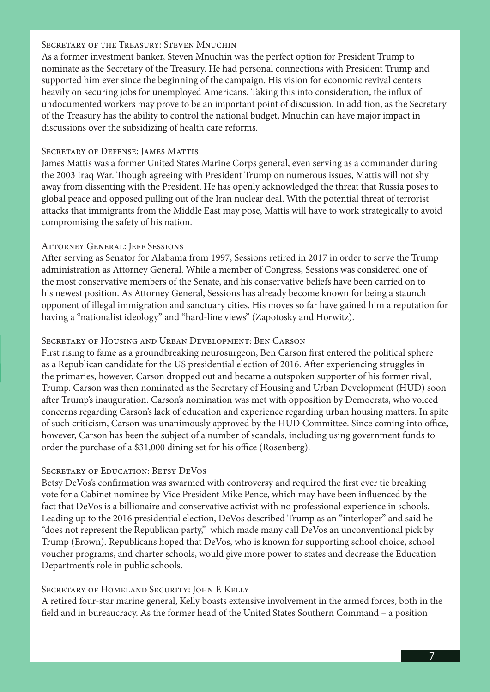### SECRETARY OF THE TREASURY: STEVEN MNUCHIN

As a former investment banker, Steven Mnuchin was the perfect option for President Trump to nominate as the Secretary of the Treasury. He had personal connections with President Trump and supported him ever since the beginning of the campaign. His vision for economic revival centers heavily on securing jobs for unemployed Americans. Taking this into consideration, the influx of undocumented workers may prove to be an important point of discussion. In addition, as the Secretary of the Treasury has the ability to control the national budget, Mnuchin can have major impact in discussions over the subsidizing of health care reforms.

### SECRETARY OF DEFENSE: JAMES MATTIS

James Mattis was a former United States Marine Corps general, even serving as a commander during the 2003 Iraq War. Though agreeing with President Trump on numerous issues, Mattis will not shy away from dissenting with the President. He has openly acknowledged the threat that Russia poses to global peace and opposed pulling out of the Iran nuclear deal. With the potential threat of terrorist attacks that immigrants from the Middle East may pose, Mattis will have to work strategically to avoid compromising the safety of his nation.

### ATTORNEY GENERAL: JEFF SESSIONS

After serving as Senator for Alabama from 1997, Sessions retired in 2017 in order to serve the Trump administration as Attorney General. While a member of Congress, Sessions was considered one of the most conservative members of the Senate, and his conservative beliefs have been carried on to his newest position. As Attorney General, Sessions has already become known for being a staunch opponent of illegal immigration and sanctuary cities. His moves so far have gained him a reputation for having a "nationalist ideology" and "hard-line views" (Zapotosky and Horwitz).

### Secretary of Housing and Urban Development: Ben Carson

First rising to fame as a groundbreaking neurosurgeon, Ben Carson first entered the political sphere as a Republican candidate for the US presidential election of 2016. After experiencing struggles in the primaries, however, Carson dropped out and became a outspoken supporter of his former rival, Trump. Carson was then nominated as the Secretary of Housing and Urban Development (HUD) soon after Trump's inauguration. Carson's nomination was met with opposition by Democrats, who voiced concerns regarding Carson's lack of education and experience regarding urban housing matters. In spite of such criticism, Carson was unanimously approved by the HUD Committee. Since coming into office, however, Carson has been the subject of a number of scandals, including using government funds to order the purchase of a \$31,000 dining set for his office (Rosenberg).

### SECRETARY OF EDUCATION: BETSY DEVOS

Betsy DeVos's confirmation was swarmed with controversy and required the first ever tie breaking vote for a Cabinet nominee by Vice President Mike Pence, which may have been influenced by the fact that DeVos is a billionaire and conservative activist with no professional experience in schools. Leading up to the 2016 presidential election, DeVos described Trump as an "interloper" and said he "does not represent the Republican party," which made many call DeVos an unconventional pick by Trump (Brown). Republicans hoped that DeVos, who is known for supporting school choice, school voucher programs, and charter schools, would give more power to states and decrease the Education Department's role in public schools.

### SECRETARY OF HOMELAND SECURITY: JOHN F. KELLY

A retired four-star marine general, Kelly boasts extensive involvement in the armed forces, both in the field and in bureaucracy. As the former head of the United States Southern Command – a position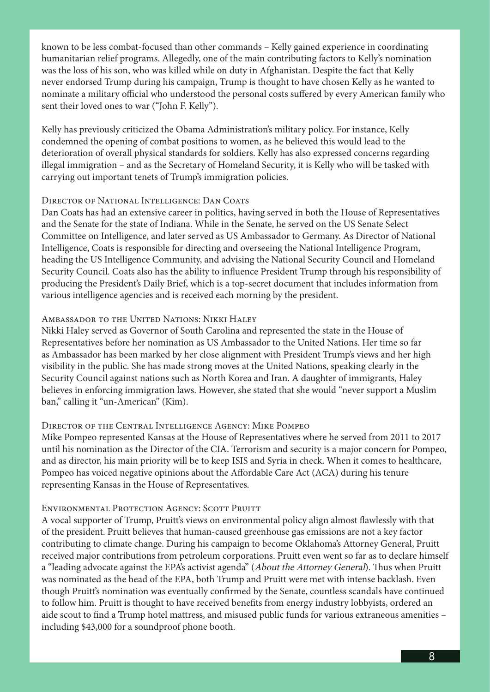known to be less combat-focused than other commands – Kelly gained experience in coordinating humanitarian relief programs. Allegedly, one of the main contributing factors to Kelly's nomination was the loss of his son, who was killed while on duty in Afghanistan. Despite the fact that Kelly never endorsed Trump during his campaign, Trump is thought to have chosen Kelly as he wanted to nominate a military official who understood the personal costs suffered by every American family who sent their loved ones to war ("John F. Kelly").

Kelly has previously criticized the Obama Administration's military policy. For instance, Kelly condemned the opening of combat positions to women, as he believed this would lead to the deterioration of overall physical standards for soldiers. Kelly has also expressed concerns regarding illegal immigration – and as the Secretary of Homeland Security, it is Kelly who will be tasked with carrying out important tenets of Trump's immigration policies.

### DIRECTOR OF NATIONAL INTELLIGENCE: DAN COATS

Dan Coats has had an extensive career in politics, having served in both the House of Representatives and the Senate for the state of Indiana. While in the Senate, he served on the US Senate Select Committee on Intelligence, and later served as US Ambassador to Germany. As Director of National Intelligence, Coats is responsible for directing and overseeing the National Intelligence Program, heading the US Intelligence Community, and advising the National Security Council and Homeland Security Council. Coats also has the ability to influence President Trump through his responsibility of producing the President's Daily Brief, which is a top-secret document that includes information from various intelligence agencies and is received each morning by the president.

### Ambassador to the United Nations: Nikki Haley

Nikki Haley served as Governor of South Carolina and represented the state in the House of Representatives before her nomination as US Ambassador to the United Nations. Her time so far as Ambassador has been marked by her close alignment with President Trump's views and her high visibility in the public. She has made strong moves at the United Nations, speaking clearly in the Security Council against nations such as North Korea and Iran. A daughter of immigrants, Haley believes in enforcing immigration laws. However, she stated that she would "never support a Muslim ban," calling it "un-American" (Kim).

#### Director of the Central Intelligence Agency: Mike Pompeo

Mike Pompeo represented Kansas at the House of Representatives where he served from 2011 to 2017 until his nomination as the Director of the CIA. Terrorism and security is a major concern for Pompeo, and as director, his main priority will be to keep ISIS and Syria in check. When it comes to healthcare, Pompeo has voiced negative opinions about the Affordable Care Act (ACA) during his tenure representing Kansas in the House of Representatives.

#### ENVIRONMENTAL PROTECTION AGENCY: SCOTT PRUITT

A vocal supporter of Trump, Pruitt's views on environmental policy align almost flawlessly with that of the president. Pruitt believes that human-caused greenhouse gas emissions are not a key factor contributing to climate change. During his campaign to become Oklahoma's Attorney General, Pruitt received major contributions from petroleum corporations. Pruitt even went so far as to declare himself a "leading advocate against the EPA's activist agenda" (About the Attorney General). Thus when Pruitt was nominated as the head of the EPA, both Trump and Pruitt were met with intense backlash. Even though Pruitt's nomination was eventually confirmed by the Senate, countless scandals have continued to follow him. Pruitt is thought to have received benefits from energy industry lobbyists, ordered an aide scout to find a Trump hotel mattress, and misused public funds for various extraneous amenities – including \$43,000 for a soundproof phone booth.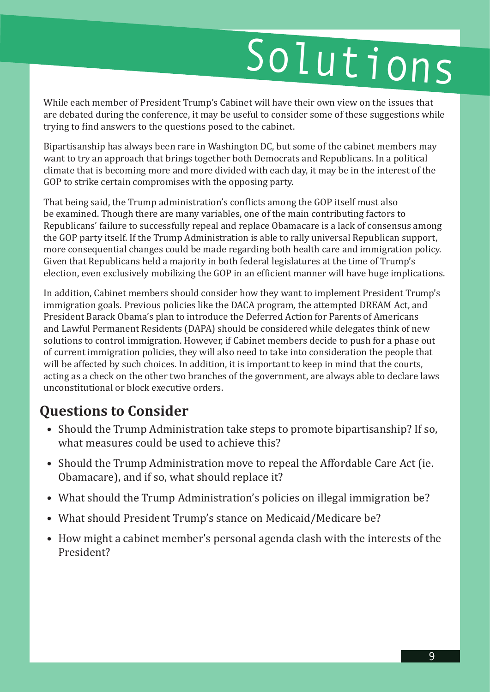# Solutions

While each member of President Trump's Cabinet will have their own view on the issues that are debated during the conference, it may be useful to consider some of these suggestions while trying to find answers to the questions posed to the cabinet.

Bipartisanship has always been rare in Washington DC, but some of the cabinet members may want to try an approach that brings together both Democrats and Republicans. In a political climate that is becoming more and more divided with each day, it may be in the interest of the GOP to strike certain compromises with the opposing party.

That being said, the Trump administration's conflicts among the GOP itself must also be examined. Though there are many variables, one of the main contributing factors to Republicans' failure to successfully repeal and replace Obamacare is a lack of consensus among the GOP party itself. If the Trump Administration is able to rally universal Republican support, more consequential changes could be made regarding both health care and immigration policy. Given that Republicans held a majority in both federal legislatures at the time of Trump's election, even exclusively mobilizing the GOP in an efficient manner will have huge implications.

In addition, Cabinet members should consider how they want to implement President Trump's immigration goals. Previous policies like the DACA program, the attempted DREAM Act, and President Barack Obama's plan to introduce the Deferred Action for Parents of Americans and Lawful Permanent Residents (DAPA) should be considered while delegates think of new solutions to control immigration. However, if Cabinet members decide to push for a phase out of current immigration policies, they will also need to take into consideration the people that will be affected by such choices. In addition, it is important to keep in mind that the courts, acting as a check on the other two branches of the government, are always able to declare laws unconstitutional or block executive orders.

### **Questions to Consider**

- Should the Trump Administration take steps to promote bipartisanship? If so, what measures could be used to achieve this?
- Should the Trump Administration move to repeal the Affordable Care Act (ie. Obamacare), and if so, what should replace it?
- What should the Trump Administration's policies on illegal immigration be?
- What should President Trump's stance on Medicaid/Medicare be?
- How might a cabinet member's personal agenda clash with the interests of the President?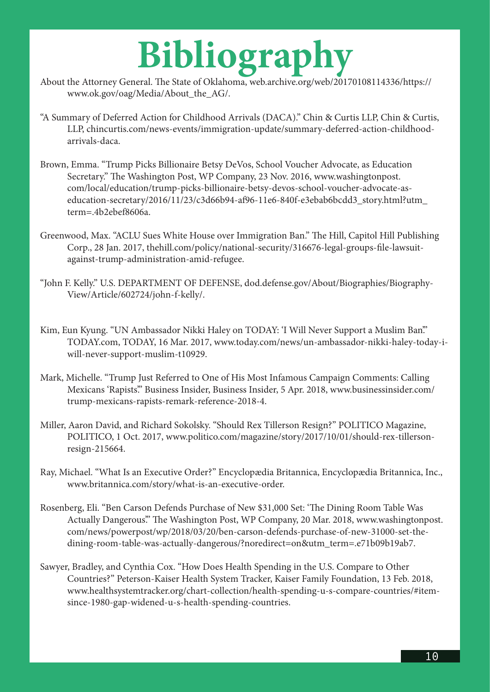### **Bibliography**

- About the Attorney General. The State of Oklahoma, web.archive.org/web/20170108114336/https:// www.ok.gov/oag/Media/About\_the\_AG/.
- "A Summary of Deferred Action for Childhood Arrivals (DACA)." Chin & Curtis LLP, Chin & Curtis, LLP, chincurtis.com/news-events/immigration-update/summary-deferred-action-childhoodarrivals-daca.
- Brown, Emma. "Trump Picks Billionaire Betsy DeVos, School Voucher Advocate, as Education Secretary." The Washington Post, WP Company, 23 Nov. 2016, www.washingtonpost. com/local/education/trump-picks-billionaire-betsy-devos-school-voucher-advocate-aseducation-secretary/2016/11/23/c3d66b94-af96-11e6-840f-e3ebab6bcdd3\_story.html?utm\_ term=.4b2ebef8606a.
- Greenwood, Max. "ACLU Sues White House over Immigration Ban." The Hill, Capitol Hill Publishing Corp., 28 Jan. 2017, thehill.com/policy/national-security/316676-legal-groups-file-lawsuitagainst-trump-administration-amid-refugee.
- "John F. Kelly." U.S. DEPARTMENT OF DEFENSE, dod.defense.gov/About/Biographies/Biography-View/Article/602724/john-f-kelly/.
- Kim, Eun Kyung. "UN Ambassador Nikki Haley on TODAY: 'I Will Never Support a Muslim Ban'." TODAY.com, TODAY, 16 Mar. 2017, www.today.com/news/un-ambassador-nikki-haley-today-iwill-never-support-muslim-t10929.
- Mark, Michelle. "Trump Just Referred to One of His Most Infamous Campaign Comments: Calling Mexicans 'Rapists'." Business Insider, Business Insider, 5 Apr. 2018, www.businessinsider.com/ trump-mexicans-rapists-remark-reference-2018-4.
- Miller, Aaron David, and Richard Sokolsky. "Should Rex Tillerson Resign?" POLITICO Magazine, POLITICO, 1 Oct. 2017, www.politico.com/magazine/story/2017/10/01/should-rex-tillersonresign-215664.
- Ray, Michael. "What Is an Executive Order?" Encyclopædia Britannica, Encyclopædia Britannica, Inc., www.britannica.com/story/what-is-an-executive-order.
- Rosenberg, Eli. "Ben Carson Defends Purchase of New \$31,000 Set: 'The Dining Room Table Was Actually Dangerous." The Washington Post, WP Company, 20 Mar. 2018, www.washingtonpost. com/news/powerpost/wp/2018/03/20/ben-carson-defends-purchase-of-new-31000-set-thedining-room-table-was-actually-dangerous/?noredirect=on&utm\_term=.e71b09b19ab7.
- Sawyer, Bradley, and Cynthia Cox. "How Does Health Spending in the U.S. Compare to Other Countries?" Peterson-Kaiser Health System Tracker, Kaiser Family Foundation, 13 Feb. 2018, www.healthsystemtracker.org/chart-collection/health-spending-u-s-compare-countries/#itemsince-1980-gap-widened-u-s-health-spending-countries.